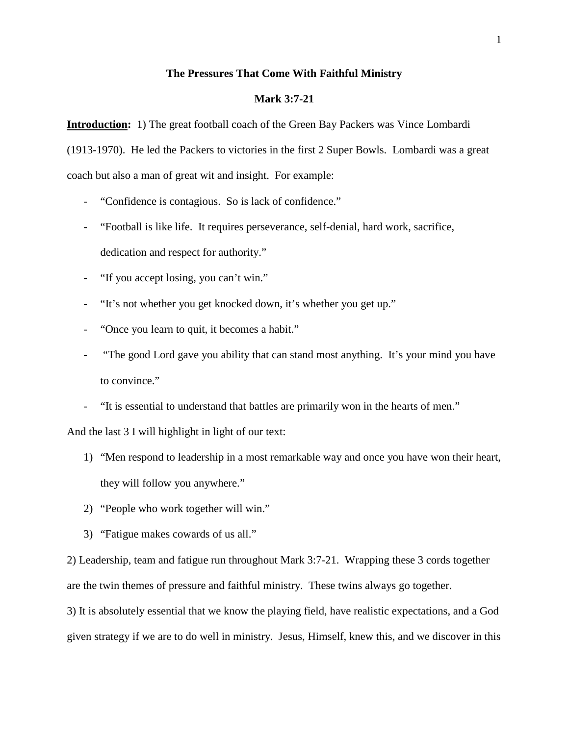# **The Pressures That Come With Faithful Ministry**

# **Mark 3:7-21**

**Introduction:** 1) The great football coach of the Green Bay Packers was Vince Lombardi (1913-1970). He led the Packers to victories in the first 2 Super Bowls. Lombardi was a great coach but also a man of great wit and insight. For example:

- "Confidence is contagious. So is lack of confidence."
- "Football is like life. It requires perseverance, self-denial, hard work, sacrifice, dedication and respect for authority."
- "If you accept losing, you can't win."
- "It's not whether you get knocked down, it's whether you get up."
- "Once you learn to quit, it becomes a habit."
- "The good Lord gave you ability that can stand most anything. It's your mind you have to convince."
- "It is essential to understand that battles are primarily won in the hearts of men."

And the last 3 I will highlight in light of our text:

- 1) "Men respond to leadership in a most remarkable way and once you have won their heart, they will follow you anywhere."
- 2) "People who work together will win."
- 3) "Fatigue makes cowards of us all."

2) Leadership, team and fatigue run throughout Mark 3:7-21. Wrapping these 3 cords together are the twin themes of pressure and faithful ministry. These twins always go together.

3) It is absolutely essential that we know the playing field, have realistic expectations, and a God given strategy if we are to do well in ministry. Jesus, Himself, knew this, and we discover in this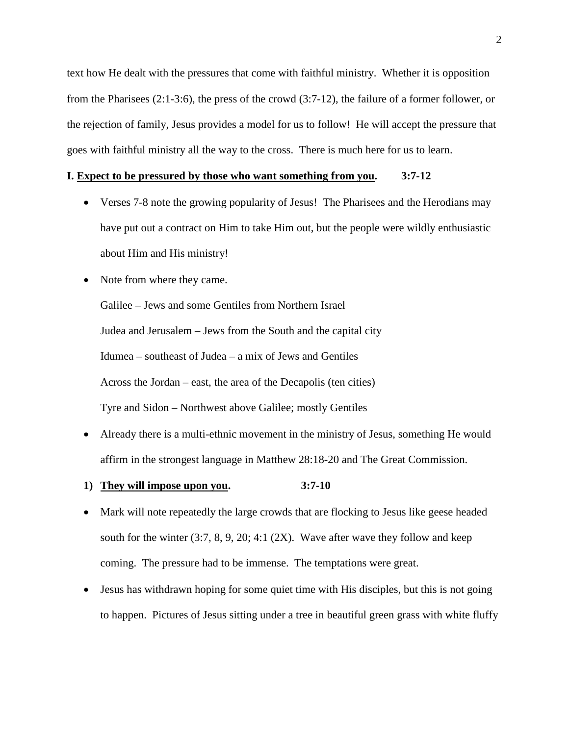text how He dealt with the pressures that come with faithful ministry. Whether it is opposition from the Pharisees (2:1-3:6), the press of the crowd (3:7-12), the failure of a former follower, or the rejection of family, Jesus provides a model for us to follow! He will accept the pressure that goes with faithful ministry all the way to the cross. There is much here for us to learn.

# **I. Expect to be pressured by those who want something from you. 3:7-12**

- Verses 7-8 note the growing popularity of Jesus! The Pharisees and the Herodians may have put out a contract on Him to take Him out, but the people were wildly enthusiastic about Him and His ministry!
- Note from where they came.

Galilee – Jews and some Gentiles from Northern Israel Judea and Jerusalem – Jews from the South and the capital city Idumea – southeast of Judea – a mix of Jews and Gentiles Across the Jordan – east, the area of the Decapolis (ten cities) Tyre and Sidon – Northwest above Galilee; mostly Gentiles

- Already there is a multi-ethnic movement in the ministry of Jesus, something He would affirm in the strongest language in Matthew 28:18-20 and The Great Commission.
- **1) They will impose upon you. 3:7-10**
- Mark will note repeatedly the large crowds that are flocking to Jesus like geese headed south for the winter  $(3:7, 8, 9, 20; 4:1 (2X)$ . Wave after wave they follow and keep coming. The pressure had to be immense. The temptations were great.
- Jesus has withdrawn hoping for some quiet time with His disciples, but this is not going to happen. Pictures of Jesus sitting under a tree in beautiful green grass with white fluffy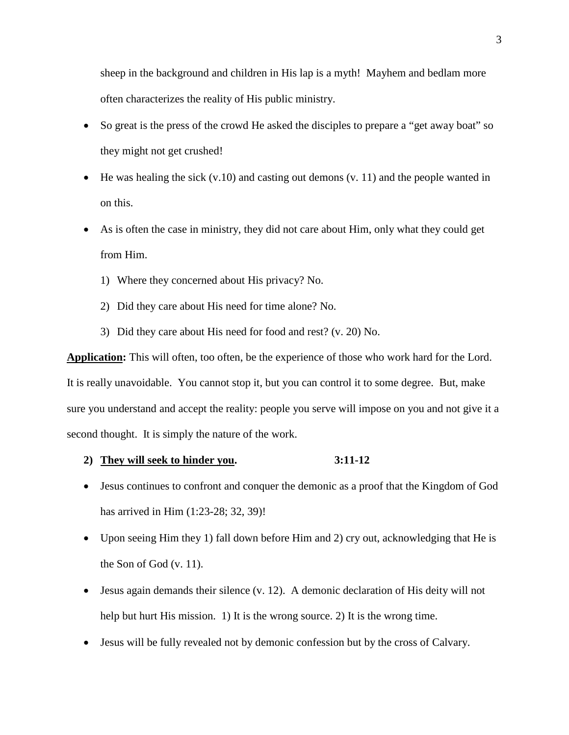sheep in the background and children in His lap is a myth! Mayhem and bedlam more often characterizes the reality of His public ministry.

- So great is the press of the crowd He asked the disciples to prepare a "get away boat" so they might not get crushed!
- He was healing the sick  $(v.10)$  and casting out demons  $(v. 11)$  and the people wanted in on this.
- As is often the case in ministry, they did not care about Him, only what they could get from Him.
	- 1) Where they concerned about His privacy? No.
	- 2) Did they care about His need for time alone? No.
	- 3) Did they care about His need for food and rest? (v. 20) No.

**Application:** This will often, too often, be the experience of those who work hard for the Lord. It is really unavoidable. You cannot stop it, but you can control it to some degree. But, make sure you understand and accept the reality: people you serve will impose on you and not give it a second thought. It is simply the nature of the work.

# **2) They will seek to hinder you. 3:11-12**

- Jesus continues to confront and conquer the demonic as a proof that the Kingdom of God has arrived in Him (1:23-28; 32, 39)!
- Upon seeing Him they 1) fall down before Him and 2) cry out, acknowledging that He is the Son of God (v. 11).
- Jesus again demands their silence (v. 12). A demonic declaration of His deity will not help but hurt His mission. 1) It is the wrong source. 2) It is the wrong time.
- Jesus will be fully revealed not by demonic confession but by the cross of Calvary.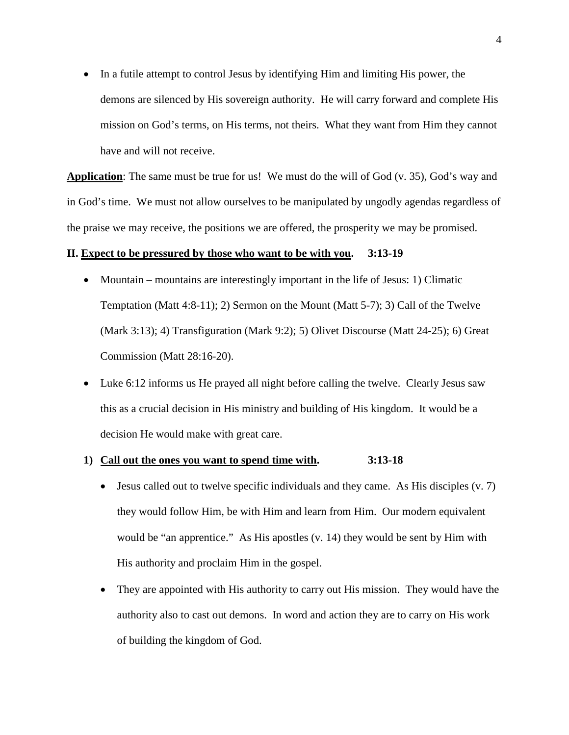• In a futile attempt to control Jesus by identifying Him and limiting His power, the demons are silenced by His sovereign authority. He will carry forward and complete His mission on God's terms, on His terms, not theirs. What they want from Him they cannot have and will not receive.

**Application**: The same must be true for us! We must do the will of God (v. 35), God's way and in God's time. We must not allow ourselves to be manipulated by ungodly agendas regardless of the praise we may receive, the positions we are offered, the prosperity we may be promised.

# **II. Expect to be pressured by those who want to be with you. 3:13-19**

- Mountain mountains are interestingly important in the life of Jesus: 1) Climatic Temptation (Matt 4:8-11); 2) Sermon on the Mount (Matt 5-7); 3) Call of the Twelve (Mark 3:13); 4) Transfiguration (Mark 9:2); 5) Olivet Discourse (Matt 24-25); 6) Great Commission (Matt 28:16-20).
- Luke 6:12 informs us He prayed all night before calling the twelve. Clearly Jesus saw this as a crucial decision in His ministry and building of His kingdom. It would be a decision He would make with great care.

## **1) Call out the ones you want to spend time with. 3:13-18**

- Jesus called out to twelve specific individuals and they came. As His disciples  $(v, 7)$ they would follow Him, be with Him and learn from Him. Our modern equivalent would be "an apprentice." As His apostles (v. 14) they would be sent by Him with His authority and proclaim Him in the gospel.
- They are appointed with His authority to carry out His mission. They would have the authority also to cast out demons. In word and action they are to carry on His work of building the kingdom of God.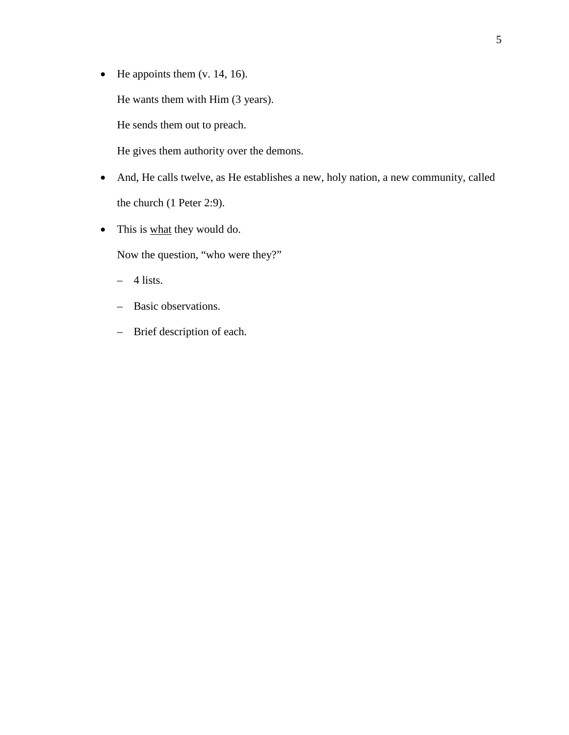- He appoints them  $(v. 14, 16)$ . He wants them with Him (3 years). He sends them out to preach. He gives them authority over the demons.
- And, He calls twelve, as He establishes a new, holy nation, a new community, called the church (1 Peter 2:9).
- This is what they would do.

Now the question, "who were they?"

- $-4$  lists.
- Basic observations.
- Brief description of each.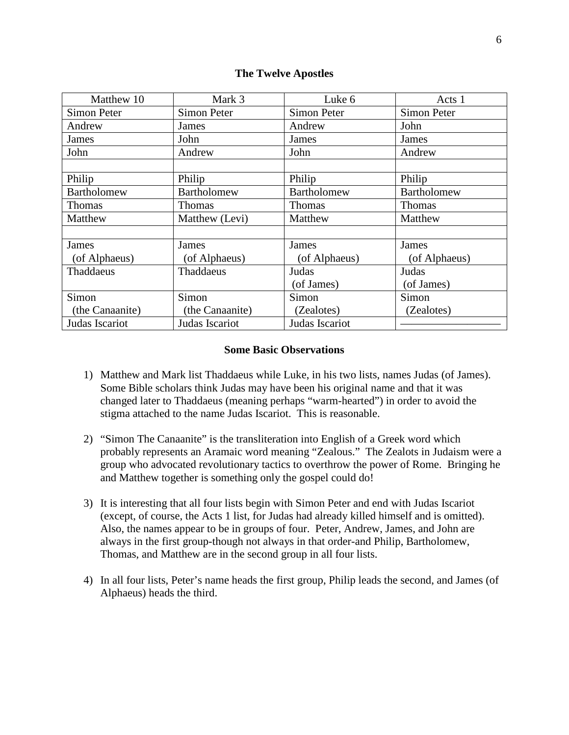# **The Twelve Apostles**

| Matthew 10      | Mark 3          | Luke 6         | Acts 1        |
|-----------------|-----------------|----------------|---------------|
| Simon Peter     | Simon Peter     | Simon Peter    | Simon Peter   |
| Andrew          | James           | Andrew         | John          |
| James           | John            | James          | James         |
| John            | Andrew          | John           | Andrew        |
|                 |                 |                |               |
| Philip          | Philip          | Philip         | Philip        |
| Bartholomew     | Bartholomew     | Bartholomew    | Bartholomew   |
| <b>Thomas</b>   | <b>Thomas</b>   | <b>Thomas</b>  | Thomas        |
| Matthew         | Matthew (Levi)  | Matthew        | Matthew       |
|                 |                 |                |               |
| James           | James           | <b>James</b>   | James         |
| (of Alphaeus)   | (of Alphaeus)   | (of Alphaeus)  | (of Alphaeus) |
| Thaddaeus       | Thaddaeus       | Judas          | Judas         |
|                 |                 | (of James)     | (of James)    |
| Simon           | Simon           | Simon          | Simon         |
| (the Canaanite) | (the Canaanite) | (Zealotes)     | (Zealotes)    |
| Judas Iscariot  | Judas Iscariot  | Judas Iscariot |               |

# **Some Basic Observations**

- 1) Matthew and Mark list Thaddaeus while Luke, in his two lists, names Judas (of James). Some Bible scholars think Judas may have been his original name and that it was changed later to Thaddaeus (meaning perhaps "warm-hearted") in order to avoid the stigma attached to the name Judas Iscariot. This is reasonable.
- 2) "Simon The Canaanite" is the transliteration into English of a Greek word which probably represents an Aramaic word meaning "Zealous." The Zealots in Judaism were a group who advocated revolutionary tactics to overthrow the power of Rome. Bringing he and Matthew together is something only the gospel could do!
- 3) It is interesting that all four lists begin with Simon Peter and end with Judas Iscariot (except, of course, the Acts 1 list, for Judas had already killed himself and is omitted). Also, the names appear to be in groups of four. Peter, Andrew, James, and John are always in the first group-though not always in that order-and Philip, Bartholomew, Thomas, and Matthew are in the second group in all four lists.
- 4) In all four lists, Peter's name heads the first group, Philip leads the second, and James (of Alphaeus) heads the third.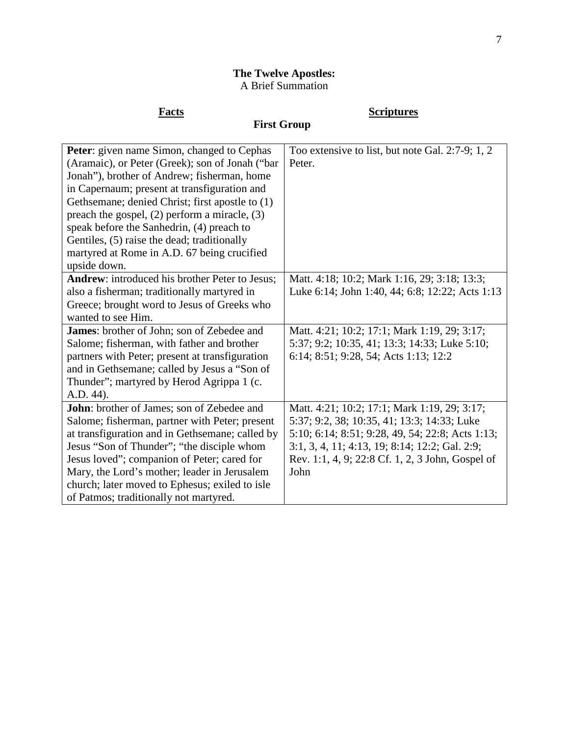# **The Twelve Apostles:** A Brief Summation

# **Facts Scriptures**

# **First Group**

| Peter: given name Simon, changed to Cephas        | Too extensive to list, but note Gal. 2:7-9; 1, 2 |
|---------------------------------------------------|--------------------------------------------------|
| (Aramaic), or Peter (Greek); son of Jonah ("bar   | Peter.                                           |
| Jonah"), brother of Andrew; fisherman, home       |                                                  |
| in Capernaum; present at transfiguration and      |                                                  |
| Gethsemane; denied Christ; first apostle to (1)   |                                                  |
| preach the gospel, $(2)$ perform a miracle, $(3)$ |                                                  |
| speak before the Sanhedrin, (4) preach to         |                                                  |
| Gentiles, (5) raise the dead; traditionally       |                                                  |
| martyred at Rome in A.D. 67 being crucified       |                                                  |
| upside down.                                      |                                                  |
| Andrew: introduced his brother Peter to Jesus;    | Matt. 4:18; 10:2; Mark 1:16, 29; 3:18; 13:3;     |
| also a fisherman; traditionally martyred in       | Luke 6:14; John 1:40, 44; 6:8; 12:22; Acts 1:13  |
| Greece; brought word to Jesus of Greeks who       |                                                  |
| wanted to see Him.                                |                                                  |
| James: brother of John; son of Zebedee and        | Matt. 4:21; 10:2; 17:1; Mark 1:19, 29; 3:17;     |
| Salome; fisherman, with father and brother        | 5:37; 9:2; 10:35, 41; 13:3; 14:33; Luke 5:10;    |
| partners with Peter; present at transfiguration   | 6:14; 8:51; 9:28, 54; Acts 1:13; 12:2            |
| and in Gethsemane; called by Jesus a "Son of      |                                                  |
| Thunder"; martyred by Herod Agrippa 1 (c.         |                                                  |
| A.D. 44).                                         |                                                  |
| John: brother of James; son of Zebedee and        | Matt. 4:21; 10:2; 17:1; Mark 1:19, 29; 3:17;     |
| Salome; fisherman, partner with Peter; present    | 5:37; 9:2, 38; 10:35, 41; 13:3; 14:33; Luke      |
| at transfiguration and in Gethsemane; called by   | 5:10; 6:14; 8:51; 9:28, 49, 54; 22:8; Acts 1:13; |
| Jesus "Son of Thunder"; "the disciple whom        | 3:1, 3, 4, 11; 4:13, 19; 8:14; 12:2; Gal. 2:9;   |
| Jesus loved"; companion of Peter; cared for       | Rev. 1:1, 4, 9; 22:8 Cf. 1, 2, 3 John, Gospel of |
| Mary, the Lord's mother; leader in Jerusalem      | John                                             |
| church; later moved to Ephesus; exiled to isle    |                                                  |
| of Patmos; traditionally not martyred.            |                                                  |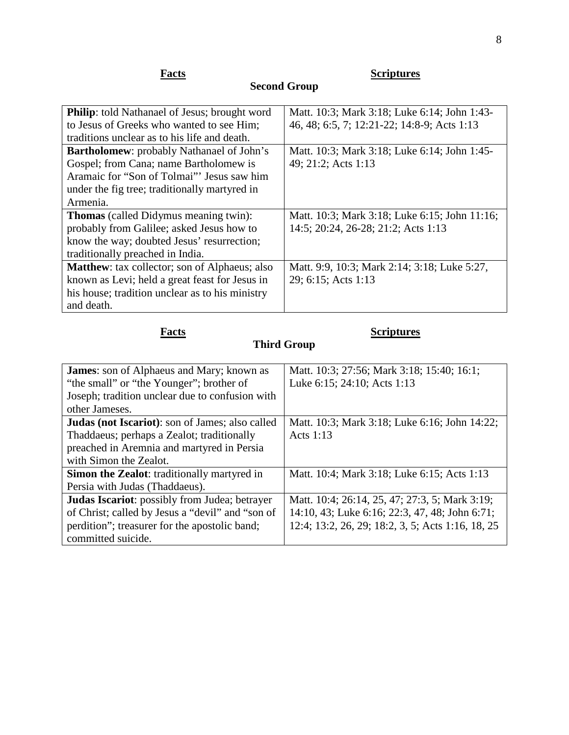|--|

**Facts Scriptures Scriptures** 

## **Philip**: told Nathanael of Jesus; brought word to Jesus of Greeks who wanted to see Him; traditions unclear as to his life and death. Matt. 10:3; Mark 3:18; Luke 6:14; John 1:43- 46, 48; 6:5, 7; 12:21-22; 14:8-9; Acts 1:13 **Bartholomew**: probably Nathanael of John's Gospel; from Cana; name Bartholomew is Aramaic for "Son of Tolmai"' Jesus saw him under the fig tree; traditionally martyred in Armenia. Matt. 10:3; Mark 3:18; Luke 6:14; John 1:45- 49; 21:2; Acts 1:13 **Thomas** (called Didymus meaning twin): probably from Galilee; asked Jesus how to know the way; doubted Jesus' resurrection; traditionally preached in India. Matt. 10:3; Mark 3:18; Luke 6:15; John 11:16; 14:5; 20:24, 26-28; 21:2; Acts 1:13 **Matthew**: tax collector; son of Alphaeus; also known as Levi; held a great feast for Jesus in his house; tradition unclear as to his ministry and death. Matt. 9:9, 10:3; Mark 2:14; 3:18; Luke 5:27, 29; 6:15; Acts 1:13

**Second Group**

# **Facts Scriptures**

# **Third Group**

| <b>James:</b> son of Alphaeus and Mary; known as        | Matt. 10:3; 27:56; Mark 3:18; 15:40; 16:1;        |
|---------------------------------------------------------|---------------------------------------------------|
| "the small" or "the Younger"; brother of                | Luke 6:15; 24:10; Acts 1:13                       |
| Joseph; tradition unclear due to confusion with         |                                                   |
| other Jameses.                                          |                                                   |
| <b>Judas (not Iscariot)</b> : son of James; also called | Matt. 10:3; Mark 3:18; Luke 6:16; John 14:22;     |
| Thaddaeus; perhaps a Zealot; traditionally              | Acts 1:13                                         |
| preached in Aremnia and martyred in Persia              |                                                   |
| with Simon the Zealot.                                  |                                                   |
| <b>Simon the Zealot:</b> traditionally martyred in      | Matt. 10:4; Mark 3:18; Luke 6:15; Acts 1:13       |
| Persia with Judas (Thaddaeus).                          |                                                   |
| Judas Iscariot: possibly from Judea; betrayer           | Matt. 10:4; 26:14, 25, 47; 27:3, 5; Mark 3:19;    |
| of Christ; called by Jesus a "devil" and "son of        | 14:10, 43; Luke 6:16; 22:3, 47, 48; John 6:71;    |
| perdition"; treasurer for the apostolic band;           | 12:4; 13:2, 26, 29; 18:2, 3, 5; Acts 1:16, 18, 25 |
| committed suicide.                                      |                                                   |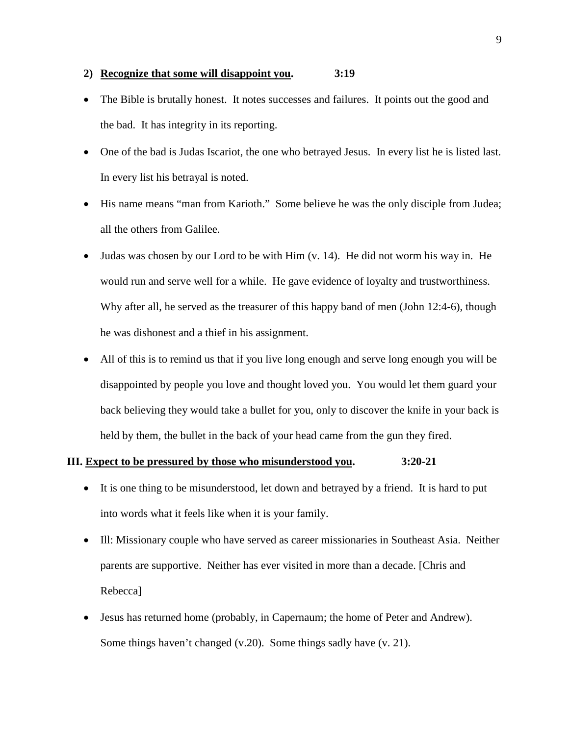# **2) Recognize that some will disappoint you. 3:19**

- The Bible is brutally honest. It notes successes and failures. It points out the good and the bad. It has integrity in its reporting.
- One of the bad is Judas Iscariot, the one who betrayed Jesus. In every list he is listed last. In every list his betrayal is noted.
- His name means "man from Karioth." Some believe he was the only disciple from Judea; all the others from Galilee.
- Judas was chosen by our Lord to be with Him (v. 14). He did not worm his way in. He would run and serve well for a while. He gave evidence of loyalty and trustworthiness. Why after all, he served as the treasurer of this happy band of men (John 12:4-6), though he was dishonest and a thief in his assignment.
- All of this is to remind us that if you live long enough and serve long enough you will be disappointed by people you love and thought loved you. You would let them guard your back believing they would take a bullet for you, only to discover the knife in your back is held by them, the bullet in the back of your head came from the gun they fired.

# **III. Expect to be pressured by those who misunderstood you. 3:20-21**

- It is one thing to be misunderstood, let down and betrayed by a friend. It is hard to put into words what it feels like when it is your family.
- Ill: Missionary couple who have served as career missionaries in Southeast Asia. Neither parents are supportive. Neither has ever visited in more than a decade. [Chris and Rebecca]
- Jesus has returned home (probably, in Capernaum; the home of Peter and Andrew). Some things haven't changed (v.20). Some things sadly have (v. 21).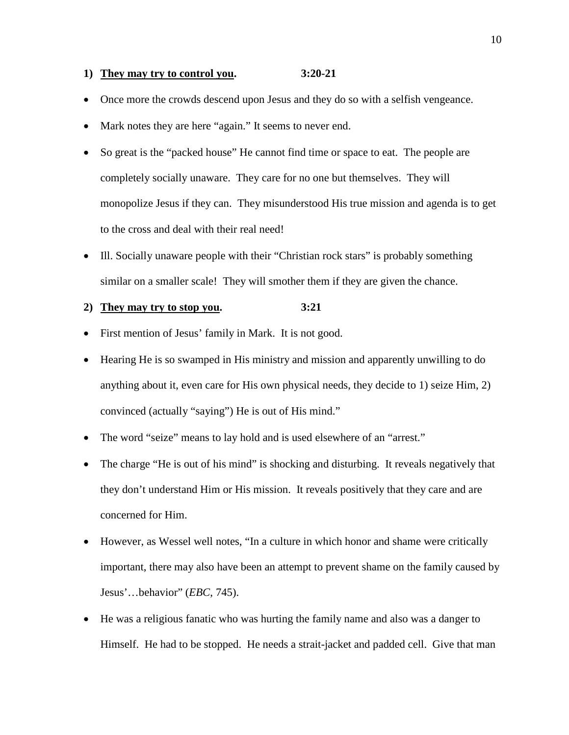# **1) They may try to control you. 3:20-21**

- Once more the crowds descend upon Jesus and they do so with a selfish vengeance.
- Mark notes they are here "again." It seems to never end.
- So great is the "packed house" He cannot find time or space to eat. The people are completely socially unaware. They care for no one but themselves. They will monopolize Jesus if they can. They misunderstood His true mission and agenda is to get to the cross and deal with their real need!
- Ill. Socially unaware people with their "Christian rock stars" is probably something similar on a smaller scale! They will smother them if they are given the chance.

# **2) They may try to stop you. 3:21**

- First mention of Jesus' family in Mark. It is not good.
- Hearing He is so swamped in His ministry and mission and apparently unwilling to do anything about it, even care for His own physical needs, they decide to 1) seize Him, 2) convinced (actually "saying") He is out of His mind."
- The word "seize" means to lay hold and is used elsewhere of an "arrest."
- The charge "He is out of his mind" is shocking and disturbing. It reveals negatively that they don't understand Him or His mission. It reveals positively that they care and are concerned for Him.
- However, as Wessel well notes, "In a culture in which honor and shame were critically important, there may also have been an attempt to prevent shame on the family caused by Jesus'…behavior" (*EBC*, 745).
- He was a religious fanatic who was hurting the family name and also was a danger to Himself. He had to be stopped. He needs a strait-jacket and padded cell. Give that man